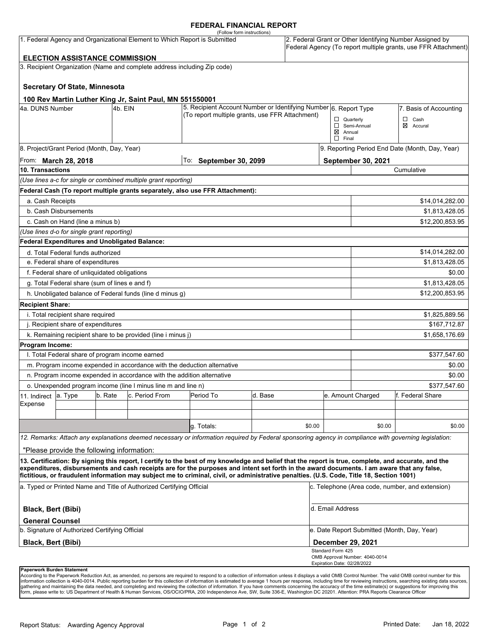#### **FEDERAL FINANCIAL REPORT**

| (Follow form instructions)<br>1. Federal Agency and Organizational Element to Which Report is Submitted<br><b>ELECTION ASSISTANCE COMMISSION</b>                                                                  |                                                      |         |                                                                          |                                                                                                                                                                                                                                                                                                    |              |        | 2. Federal Grant or Other Identifying Number Assigned by<br>Federal Agency (To report multiple grants, use FFR Attachment) |                                             |                        |  |
|-------------------------------------------------------------------------------------------------------------------------------------------------------------------------------------------------------------------|------------------------------------------------------|---------|--------------------------------------------------------------------------|----------------------------------------------------------------------------------------------------------------------------------------------------------------------------------------------------------------------------------------------------------------------------------------------------|--------------|--------|----------------------------------------------------------------------------------------------------------------------------|---------------------------------------------|------------------------|--|
|                                                                                                                                                                                                                   |                                                      |         | 3. Recipient Organization (Name and complete address including Zip code) |                                                                                                                                                                                                                                                                                                    |              |        |                                                                                                                            |                                             |                        |  |
|                                                                                                                                                                                                                   |                                                      |         |                                                                          |                                                                                                                                                                                                                                                                                                    |              |        |                                                                                                                            |                                             |                        |  |
|                                                                                                                                                                                                                   | <b>Secretary Of State, Minnesota</b>                 |         |                                                                          |                                                                                                                                                                                                                                                                                                    |              |        |                                                                                                                            |                                             |                        |  |
|                                                                                                                                                                                                                   |                                                      |         |                                                                          |                                                                                                                                                                                                                                                                                                    |              |        |                                                                                                                            |                                             |                        |  |
| 100 Rev Martin Luther King Jr, Saint Paul, MN 551550001<br>4a. DUNS Number<br>4b. EIN                                                                                                                             |                                                      |         |                                                                          | 5. Recipient Account Number or Identifying Number 6. Report Type                                                                                                                                                                                                                                   |              |        |                                                                                                                            |                                             | 7. Basis of Accounting |  |
|                                                                                                                                                                                                                   |                                                      |         |                                                                          | (To report multiple grants, use FFR Attachment)                                                                                                                                                                                                                                                    |              |        |                                                                                                                            | $\Box$ Quarterly                            | $\Box$<br>Cash         |  |
|                                                                                                                                                                                                                   |                                                      |         |                                                                          |                                                                                                                                                                                                                                                                                                    |              |        |                                                                                                                            | Semi-Annual                                 | ⊠<br>Accural           |  |
|                                                                                                                                                                                                                   |                                                      |         |                                                                          |                                                                                                                                                                                                                                                                                                    |              |        | $\boxtimes$ Annual<br>$\Box$ Final                                                                                         |                                             |                        |  |
| 8. Project/Grant Period (Month, Day, Year)                                                                                                                                                                        |                                                      |         |                                                                          |                                                                                                                                                                                                                                                                                                    |              |        | 9. Reporting Period End Date (Month, Day, Year)                                                                            |                                             |                        |  |
| From: <b>March 28, 2018</b>                                                                                                                                                                                       |                                                      |         |                                                                          | To: September 30, 2099                                                                                                                                                                                                                                                                             |              |        |                                                                                                                            | September 30, 2021                          |                        |  |
| 10. Transactions                                                                                                                                                                                                  |                                                      |         |                                                                          |                                                                                                                                                                                                                                                                                                    |              |        |                                                                                                                            | Cumulative                                  |                        |  |
|                                                                                                                                                                                                                   |                                                      |         | (Use lines a-c for single or combined multiple grant reporting)          |                                                                                                                                                                                                                                                                                                    |              |        |                                                                                                                            |                                             |                        |  |
|                                                                                                                                                                                                                   |                                                      |         |                                                                          | Federal Cash (To report multiple grants separately, also use FFR Attachment):                                                                                                                                                                                                                      |              |        |                                                                                                                            |                                             |                        |  |
| a. Cash Receipts                                                                                                                                                                                                  |                                                      |         |                                                                          |                                                                                                                                                                                                                                                                                                    |              |        |                                                                                                                            |                                             | \$14,014,282.00        |  |
|                                                                                                                                                                                                                   | b. Cash Disbursements                                |         |                                                                          |                                                                                                                                                                                                                                                                                                    |              |        |                                                                                                                            | \$1,813,428.05                              |                        |  |
|                                                                                                                                                                                                                   | c. Cash on Hand (line a minus b)                     |         |                                                                          |                                                                                                                                                                                                                                                                                                    |              |        |                                                                                                                            |                                             | \$12,200,853.95        |  |
|                                                                                                                                                                                                                   | (Use lines d-o for single grant reporting)           |         |                                                                          |                                                                                                                                                                                                                                                                                                    |              |        |                                                                                                                            |                                             |                        |  |
|                                                                                                                                                                                                                   | <b>Federal Expenditures and Unobligated Balance:</b> |         |                                                                          |                                                                                                                                                                                                                                                                                                    |              |        |                                                                                                                            |                                             |                        |  |
|                                                                                                                                                                                                                   | d. Total Federal funds authorized                    |         |                                                                          |                                                                                                                                                                                                                                                                                                    |              |        |                                                                                                                            |                                             | \$14,014,282.00        |  |
| e. Federal share of expenditures                                                                                                                                                                                  |                                                      |         |                                                                          |                                                                                                                                                                                                                                                                                                    |              |        |                                                                                                                            | \$1,813,428.05                              |                        |  |
|                                                                                                                                                                                                                   | f. Federal share of unliquidated obligations         |         |                                                                          |                                                                                                                                                                                                                                                                                                    |              |        |                                                                                                                            |                                             | \$0.00                 |  |
|                                                                                                                                                                                                                   | g. Total Federal share (sum of lines e and f)        |         |                                                                          |                                                                                                                                                                                                                                                                                                    |              |        |                                                                                                                            |                                             | \$1,813,428.05         |  |
|                                                                                                                                                                                                                   |                                                      |         | h. Unobligated balance of Federal funds (line d minus g)                 |                                                                                                                                                                                                                                                                                                    |              |        |                                                                                                                            | \$12,200,853.95                             |                        |  |
| <b>Recipient Share:</b>                                                                                                                                                                                           |                                                      |         |                                                                          |                                                                                                                                                                                                                                                                                                    |              |        |                                                                                                                            |                                             |                        |  |
|                                                                                                                                                                                                                   | i. Total recipient share required                    |         |                                                                          |                                                                                                                                                                                                                                                                                                    |              |        |                                                                                                                            |                                             | \$1,825,889.56         |  |
|                                                                                                                                                                                                                   |                                                      |         |                                                                          |                                                                                                                                                                                                                                                                                                    | \$167,712.87 |        |                                                                                                                            |                                             |                        |  |
| j. Recipient share of expenditures<br>k. Remaining recipient share to be provided (line i minus j)                                                                                                                |                                                      |         |                                                                          |                                                                                                                                                                                                                                                                                                    |              |        | \$1,658,176.69                                                                                                             |                                             |                        |  |
| Program Income:                                                                                                                                                                                                   |                                                      |         |                                                                          |                                                                                                                                                                                                                                                                                                    |              |        |                                                                                                                            |                                             |                        |  |
|                                                                                                                                                                                                                   | I. Total Federal share of program income earned      |         |                                                                          |                                                                                                                                                                                                                                                                                                    |              |        |                                                                                                                            |                                             | \$377,547.60           |  |
|                                                                                                                                                                                                                   |                                                      |         | m. Program income expended in accordance with the deduction alternative  |                                                                                                                                                                                                                                                                                                    |              |        |                                                                                                                            |                                             | \$0.00                 |  |
|                                                                                                                                                                                                                   |                                                      |         | n. Program income expended in accordance with the addition alternative   |                                                                                                                                                                                                                                                                                                    |              |        |                                                                                                                            |                                             | \$0.00                 |  |
|                                                                                                                                                                                                                   |                                                      |         | o. Unexpended program income (line I minus line m and line n)            |                                                                                                                                                                                                                                                                                                    |              |        |                                                                                                                            |                                             | \$377,547.60           |  |
| 11. Indirect                                                                                                                                                                                                      | a. Type                                              | b. Rate | c. Period From                                                           | Period To                                                                                                                                                                                                                                                                                          | d. Base      |        |                                                                                                                            | e. Amount Charged                           | f. Federal Share       |  |
| Expense                                                                                                                                                                                                           |                                                      |         |                                                                          |                                                                                                                                                                                                                                                                                                    |              |        |                                                                                                                            |                                             |                        |  |
|                                                                                                                                                                                                                   |                                                      |         |                                                                          |                                                                                                                                                                                                                                                                                                    |              |        |                                                                                                                            |                                             |                        |  |
|                                                                                                                                                                                                                   |                                                      |         |                                                                          | g. Totals:                                                                                                                                                                                                                                                                                         |              | \$0.00 |                                                                                                                            | \$0.00                                      | \$0.00                 |  |
|                                                                                                                                                                                                                   |                                                      |         |                                                                          | 12. Remarks: Attach any explanations deemed necessary or information required by Federal sponsoring agency in compliance with governing legislation:                                                                                                                                               |              |        |                                                                                                                            |                                             |                        |  |
|                                                                                                                                                                                                                   |                                                      |         |                                                                          |                                                                                                                                                                                                                                                                                                    |              |        |                                                                                                                            |                                             |                        |  |
|                                                                                                                                                                                                                   | "Please provide the following information:           |         |                                                                          |                                                                                                                                                                                                                                                                                                    |              |        |                                                                                                                            |                                             |                        |  |
|                                                                                                                                                                                                                   |                                                      |         |                                                                          | 13. Certification: By signing this report, I certify to the best of my knowledge and belief that the report is true, complete, and accurate, and the<br>expenditures, disbursements and cash receipts are for the purposes and intent set forth in the award documents. I am aware that any false, |              |        |                                                                                                                            |                                             |                        |  |
| fictitious, or fraudulent information may subject me to criminal, civil, or administrative penalties. (U.S. Code, Title 18, Section 1001)<br>a. Typed or Printed Name and Title of Authorized Certifying Official |                                                      |         |                                                                          |                                                                                                                                                                                                                                                                                                    |              |        | c. Telephone (Area code, number, and extension)                                                                            |                                             |                        |  |
| Black, Bert (Bibi)                                                                                                                                                                                                |                                                      |         |                                                                          |                                                                                                                                                                                                                                                                                                    |              |        | d. Email Address                                                                                                           |                                             |                        |  |
| <b>General Counsel</b>                                                                                                                                                                                            |                                                      |         |                                                                          |                                                                                                                                                                                                                                                                                                    |              |        |                                                                                                                            |                                             |                        |  |
|                                                                                                                                                                                                                   | b. Signature of Authorized Certifying Official       |         |                                                                          |                                                                                                                                                                                                                                                                                                    |              |        |                                                                                                                            | e. Date Report Submitted (Month, Day, Year) |                        |  |
| <b>Black, Bert (Bibi)</b>                                                                                                                                                                                         |                                                      |         |                                                                          |                                                                                                                                                                                                                                                                                                    |              |        | <b>December 29, 2021</b>                                                                                                   |                                             |                        |  |
|                                                                                                                                                                                                                   |                                                      |         |                                                                          |                                                                                                                                                                                                                                                                                                    |              |        | Standard Form 425                                                                                                          | OMB Approval Number: 4040-0014              |                        |  |
|                                                                                                                                                                                                                   | Paperwork Burden Statement                           |         |                                                                          |                                                                                                                                                                                                                                                                                                    |              |        | Expiration Date: 02/28/2022                                                                                                |                                             |                        |  |

According to the Paperwork Reduction Act, as amended, no persons are required to respond to a collection of information unless it displays a valid OMB Control Number. The valid OMB control number for this<br>information colle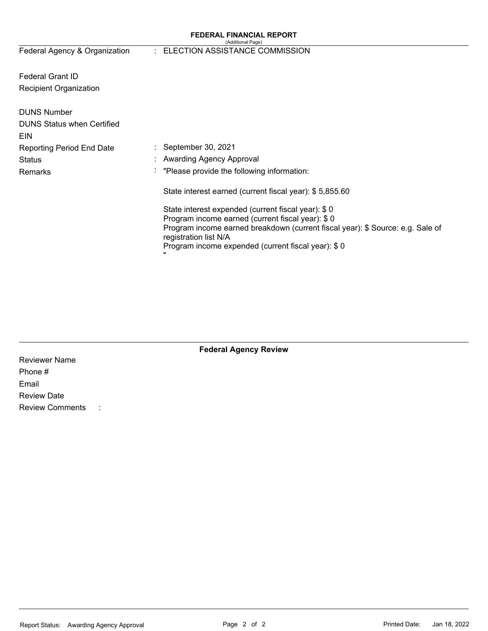#### **FEDERAL FINANCIAL REPORT**  (Additional Page)

Federal Agency & Organization

#### : ELECTION ASSISTANCE COMMISSION

Federal Grant ID Recipient Organization

| <b>DUNS Number</b><br><b>DUNS Status when Certified</b> |                                                                                                                                                                                                                                                                              |
|---------------------------------------------------------|------------------------------------------------------------------------------------------------------------------------------------------------------------------------------------------------------------------------------------------------------------------------------|
| EIN                                                     |                                                                                                                                                                                                                                                                              |
| <b>Reporting Period End Date</b>                        | $\therefore$ September 30, 2021                                                                                                                                                                                                                                              |
| Status                                                  | : Awarding Agency Approval                                                                                                                                                                                                                                                   |
| Remarks                                                 | $\therefore$ "Please provide the following information:                                                                                                                                                                                                                      |
|                                                         | State interest earned (current fiscal year): \$5,855.60                                                                                                                                                                                                                      |
|                                                         | State interest expended (current fiscal year): \$0<br>Program income earned (current fiscal year): \$0<br>Program income earned breakdown (current fiscal year): \$ Source: e.g. Sale of<br>registration list N/A<br>Program income expended (current fiscal year): \$0<br>ш |

| <b>Federal Agency Review</b> |
|------------------------------|
|                              |

Reviewer Name Phone # Email Review Date Review Comments :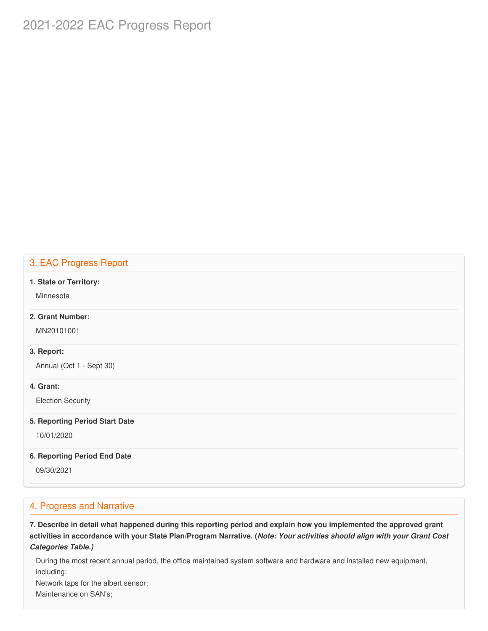# 2021-2022 EAC Progress Report

### 3. EAC Progress Report

#### **1. State or Territory:**

**Minnesota** 

### **2. Grant Number:**

MN20101001

#### **3. Report:**

Annual (Oct 1 - Sept 30)

#### **4. Grant:**

Election Security

#### **5. Reporting Period Start Date**

10/01/2020

#### **6. Reporting Period End Date**

09/30/2021

### 4. Progress and Narrative

7. Describe in detail what happened during this reporting period and explain how you implemented the approved grant activities in accordance with your State Plan/Program Narrative. (*Note: Your activities should align with your Grant Cost Categories Table.)*

 During the most recent annual period, the office maintained system software and hardware and installed new equipment, including:

Network taps for the albert sensor;

Maintenance on SAN's;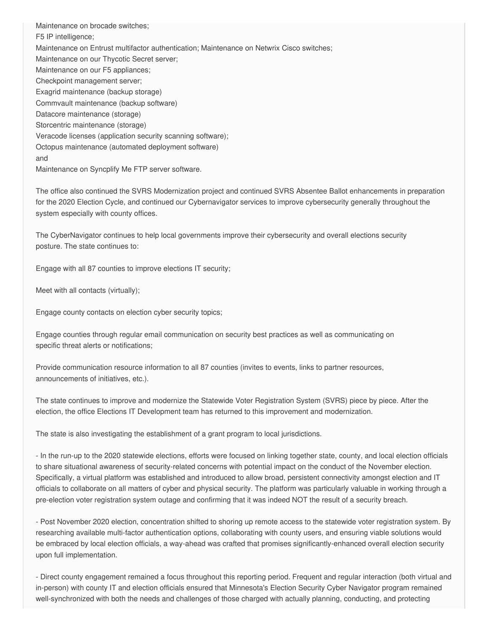Maintenance on brocade switches; F5 IP intelligence; Maintenance on Entrust multifactor authentication; Maintenance on Netwrix Cisco switches; Maintenance on our Thycotic Secret server; Maintenance on our F5 appliances; Exagrid maintenance (backup storage) Commvault maintenance (backup software) Veracode licenses (application security scanning software); Maintenance on Syncplify Me FTP server software. Checkpoint management server; Datacore maintenance (storage) Storcentric maintenance (storage) Octopus maintenance (automated deployment software) and

 The office also continued the SVRS Modernization project and continued SVRS Absentee Ballot enhancements in preparation for the 2020 Election Cycle, and continued our Cybernavigator services to improve cybersecurity generally throughout the system especially with county offices.

 The CyberNavigator continues to help local governments improve their cybersecurity and overall elections security posture. The state continues to:

Engage with all 87 counties to improve elections IT security;

Meet with all contacts (virtually);

Engage county contacts on election cyber security topics;

 Engage counties through regular email communication on security best practices as well as communicating on specific threat alerts or notifications;

 Provide communication resource information to all 87 counties (invites to events, links to partner resources, announcements of initiatives, etc.).

 The state continues to improve and modernize the Statewide Voter Registration System (SVRS) piece by piece. After the election, the office Elections IT Development team has returned to this improvement and modernization.

The state is also investigating the establishment of a grant program to local jurisdictions.

 - In the run-up to the 2020 statewide elections, efforts were focused on linking together state, county, and local election officials to share situational awareness of security-related concerns with potential impact on the conduct of the November election. Specifically, a virtual platform was established and introduced to allow broad, persistent connectivity amongst election and IT officials to collaborate on all matters of cyber and physical security. The platform was particularly valuable in working through a pre-election voter registration system outage and confirming that it was indeed NOT the result of a security breach.

 - Post November 2020 election, concentration shifted to shoring up remote access to the statewide voter registration system. By researching available multi-factor authentication options, collaborating with county users, and ensuring viable solutions would be embraced by local election officials, a way-ahead was crafted that promises significantly-enhanced overall election security upon full implementation.

 - Direct county engagement remained a focus throughout this reporting period. Frequent and regular interaction (both virtual and in-person) with county IT and election officials ensured that Minnesota's Election Security Cyber Navigator program remained well-synchronized with both the needs and challenges of those charged with actually planning, conducting, and protecting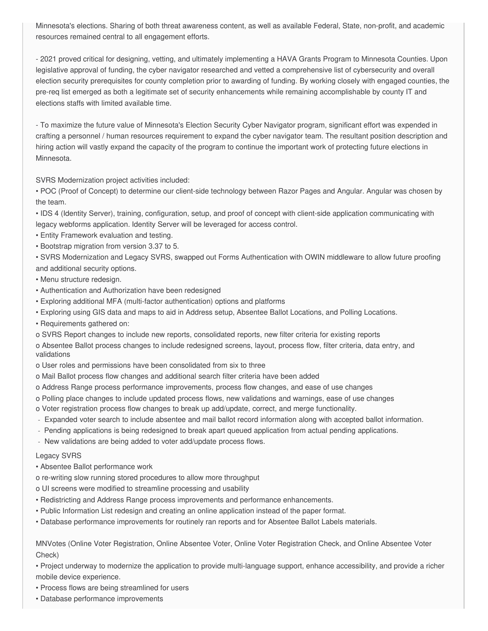Minnesota's elections. Sharing of both threat awareness content, as well as available Federal, State, non-profit, and academic resources remained central to all engagement efforts.

 - 2021 proved critical for designing, vetting, and ultimately implementing a HAVA Grants Program to Minnesota Counties. Upon legislative approval of funding, the cyber navigator researched and vetted a comprehensive list of cybersecurity and overall election security prerequisites for county completion prior to awarding of funding. By working closely with engaged counties, the pre-req list emerged as both a legitimate set of security enhancements while remaining accomplishable by county IT and elections staffs with limited available time.

 - To maximize the future value of Minnesota's Election Security Cyber Navigator program, significant effort was expended in crafting a personnel / human resources requirement to expand the cyber navigator team. The resultant position description and hiring action will vastly expand the capacity of the program to continue the important work of protecting future elections in Minnesota.

SVRS Modernization project activities included:

 • POC (Proof of Concept) to determine our client-side technology between Razor Pages and Angular. Angular was chosen by the team.

 • IDS 4 (Identity Server), training, configuration, setup, and proof of concept with client-side application communicating with legacy webforms application. Identity Server will be leveraged for access control.

- Entity Framework evaluation and testing.
- Bootstrap migration from version 3.37 to 5.

 • SVRS Modernization and Legacy SVRS, swapped out Forms Authentication with OWIN middleware to allow future proofing and additional security options.

- Menu structure redesign.
- Authentication and Authorization have been redesigned
- Exploring additional MFA (multi-factor authentication) options and platforms
- Exploring using GIS data and maps to aid in Address setup, Absentee Ballot Locations, and Polling Locations.
- Requirements gathered on:
- o SVRS Report changes to include new reports, consolidated reports, new filter criteria for existing reports

 o Absentee Ballot process changes to include redesigned screens, layout, process flow, filter criteria, data entry, and validations

- o User roles and permissions have been consolidated from six to three
- o Mail Ballot process flow changes and additional search filter criteria have been added
- o Address Range process performance improvements, process flow changes, and ease of use changes
- o Polling place changes to include updated process flows, new validations and warnings, ease of use changes
- o Voter registration process flow changes to break up add/update, correct, and merge functionality.
- Expanded voter search to include absentee and mail ballot record information along with accepted ballot information.
- Pending applications is being redesigned to break apart queued application from actual pending applications.
- New validations are being added to voter add/update process flows.

#### Legacy SVRS

- Absentee Ballot performance work
- o re-writing slow running stored procedures to allow more throughput
- o UI screens were modified to streamline processing and usability
- Redistricting and Address Range process improvements and performance enhancements.
- Public Information List redesign and creating an online application instead of the paper format.
- Database performance improvements for routinely ran reports and for Absentee Ballot Labels materials.

 MNVotes (Online Voter Registration, Online Absentee Voter, Online Voter Registration Check, and Online Absentee Voter Check)

- • Project underway to modernize the application to provide multi-language support, enhance accessibility, and provide a richer mobile device experience.
- Process flows are being streamlined for users
- Database performance improvements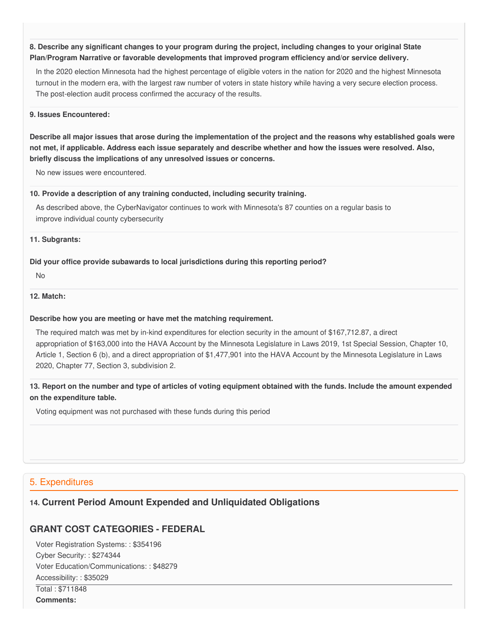8. Describe any significant changes to your program during the project, including changes to your original State  **Plan/Program Narrative or favorable developments that improved program efficiency and/or service delivery.**

 In the 2020 election Minnesota had the highest percentage of eligible voters in the nation for 2020 and the highest Minnesota turnout in the modern era, with the largest raw number of voters in state history while having a very secure election process. The post-election audit process confirmed the accuracy of the results.

#### **9. Issues Encountered:**

Describe all major issues that arose during the implementation of the project and the reasons why established goals were not met, if applicable. Address each issue separately and describe whether and how the issues were resolved. Also,  **briefly discuss the implications of any unresolved issues or concerns.**

No new issues were encountered.

#### **10. Provide a description of any training conducted, including security training.**

 As described above, the CyberNavigator continues to work with Minnesota's 87 counties on a regular basis to improve individual county cybersecurity

#### **11. Subgrants:**

#### **Did your office provide subawards to local jurisdictions during this reporting period?**

No

#### **12. Match:**

#### **Describe how you are meeting or have met the matching requirement.**

 The required match was met by in-kind expenditures for election security in the amount of [\\$167,712.87](https://167,712.87), a direct appropriation of \$163,000 into the HAVA Account by the Minnesota Legislature in Laws 2019, 1st Special Session, Chapter 10, Article 1, Section 6 (b), and a direct appropriation of \$1,477,901 into the HAVA Account by the Minnesota Legislature in Laws 2020, Chapter 77, Section 3, subdivision 2.

13. Report on the number and type of articles of voting equipment obtained with the funds. Include the amount expended  **on the expenditure table.**

Voting equipment was not purchased with these funds during this period

## 5. Expenditures

# **14. Current Period Amount Expended and Unliquidated Obligations**

# **GRANT COST CATEGORIES - FEDERAL**

 Voter Registration Systems: : \$354196 Cyber Security: : \$274344 Voter Education/Communications: : \$48279 Accessibility: : \$35029 Total : \$711848 **Comments:**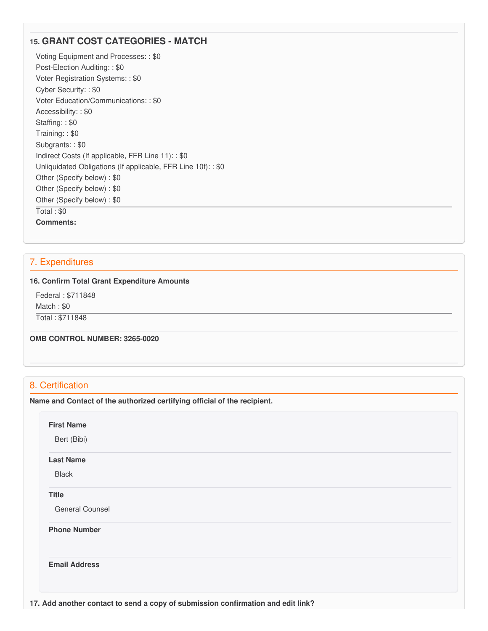# **15. GRANT COST CATEGORIES - MATCH**

 Voting Equipment and Processes: : \$0 Post-Election Auditing: : \$0 Voter Registration Systems: : \$0 Cyber Security: : \$0 Voter Education/Communications: : \$0 Accessibility: : \$0 Staffing: : \$0 Training: : \$0 Subgrants: : \$0 Indirect Costs (If applicable, FFR Line 11): : \$0 Unliquidated Obligations (If applicable, FFR Line 10f): : \$0 Other (Specify below) : \$0 Other (Specify below) : \$0 Other (Specify below) : \$0 Total : \$0 **Comments:**

# 7. Expenditures

#### **16. Confirm Total Grant Expenditure Amounts**

Federal : \$711848

Match : \$0

Total : \$711848

 **OMB CONTROL NUMBER: 3265-0020**

### 8. Certification

 **Name and Contact of the authorized certifying official of the recipient.**

**First Name**

Bert (Bibi)

#### **Last Name**

Black

### **Title**

General Counsel

**Phone Number** 

**Email Address**

 **17. Add another contact to send a copy of submission confirmation and edit link?**